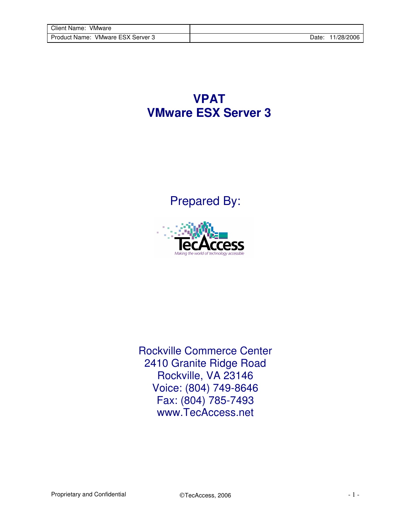**VPAT VMware ESX Server 3**

Prepared By:



Rockville Commerce Center 2410 Granite Ridge Road Rockville, VA 23146 Voice: (804) 749-8646 Fax: (804) 785-7493 www.TecAccess.net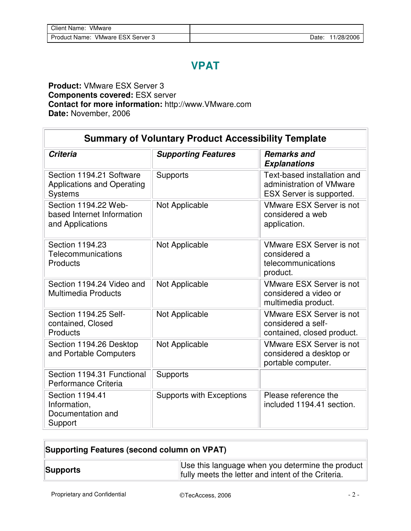## **VPAT**

## **Product:** VMware ESX Server 3 **Components covered:** ESX server **Contact for more information:** http://www.VMware.com **Date:** November, 2006

| <b>Summary of Voluntary Product Accessibility Template</b>                      |                                 |                                                                                     |  |  |  |
|---------------------------------------------------------------------------------|---------------------------------|-------------------------------------------------------------------------------------|--|--|--|
| <b>Criteria</b>                                                                 | <b>Supporting Features</b>      | <b>Remarks and</b><br><b>Explanations</b>                                           |  |  |  |
| Section 1194.21 Software<br><b>Applications and Operating</b><br><b>Systems</b> | <b>Supports</b>                 | Text-based installation and<br>administration of VMware<br>ESX Server is supported. |  |  |  |
| Section 1194.22 Web-<br>based Internet Information<br>and Applications          | Not Applicable                  | <b>VMware ESX Server is not</b><br>considered a web<br>application.                 |  |  |  |
| Section 1194.23<br>Telecommunications<br>Products                               | Not Applicable                  | <b>VMware ESX Server is not</b><br>considered a<br>telecommunications<br>product.   |  |  |  |
| Section 1194.24 Video and<br><b>Multimedia Products</b>                         | Not Applicable                  | <b>VMware ESX Server is not</b><br>considered a video or<br>multimedia product.     |  |  |  |
| Section 1194.25 Self-<br>contained, Closed<br>Products                          | Not Applicable                  | <b>VMware ESX Server is not</b><br>considered a self-<br>contained, closed product. |  |  |  |
| Section 1194.26 Desktop<br>and Portable Computers                               | Not Applicable                  | <b>VMware ESX Server is not</b><br>considered a desktop or<br>portable computer.    |  |  |  |
| Section 1194.31 Functional<br>Performance Criteria                              | Supports                        |                                                                                     |  |  |  |
| Section 1194.41<br>Information,<br>Documentation and<br>Support                 | <b>Supports with Exceptions</b> | Please reference the<br>included 1194.41 section.                                   |  |  |  |

| Supporting Features (second column on VPAT) |                                                                                                                    |  |
|---------------------------------------------|--------------------------------------------------------------------------------------------------------------------|--|
| Supports                                    | Use this language when you determine the product $\parallel$<br>fully meets the letter and intent of the Criteria. |  |

Proprietary and Confidential  $\qquad \qquad \odot$ TecAccess, 2006 - 2 -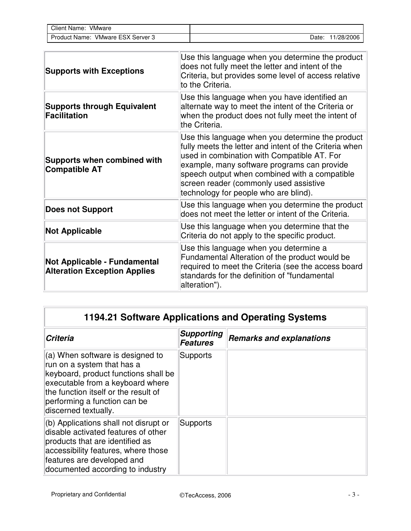| VMware<br>Client Name:                      |      |          |
|---------------------------------------------|------|----------|
| VMware ESX Server 3<br><b>Product Name:</b> | Date | /28/2006 |

| <b>Supports with Exceptions</b>                                            | Use this language when you determine the product<br>does not fully meet the letter and intent of the<br>Criteria, but provides some level of access relative<br>to the Criteria.                                                                                                                                                             |
|----------------------------------------------------------------------------|----------------------------------------------------------------------------------------------------------------------------------------------------------------------------------------------------------------------------------------------------------------------------------------------------------------------------------------------|
| <b>Supports through Equivalent</b><br><b>Facilitation</b>                  | Use this language when you have identified an<br>alternate way to meet the intent of the Criteria or<br>when the product does not fully meet the intent of<br>the Criteria.                                                                                                                                                                  |
| <b>Supports when combined with</b><br><b>Compatible AT</b>                 | Use this language when you determine the product<br>fully meets the letter and intent of the Criteria when<br>used in combination with Compatible AT. For<br>example, many software programs can provide<br>speech output when combined with a compatible<br>screen reader (commonly used assistive<br>technology for people who are blind). |
| <b>Does not Support</b>                                                    | Use this language when you determine the product<br>does not meet the letter or intent of the Criteria.                                                                                                                                                                                                                                      |
| <b>Not Applicable</b>                                                      | Use this language when you determine that the<br>Criteria do not apply to the specific product.                                                                                                                                                                                                                                              |
| <b>Not Applicable - Fundamental</b><br><b>Alteration Exception Applies</b> | Use this language when you determine a<br>Fundamental Alteration of the product would be<br>required to meet the Criteria (see the access board<br>standards for the definition of "fundamental<br>alteration").                                                                                                                             |

| 1194.21 Software Applications and Operating Systems                                                                                                                                                                                          |                                      |                                 |  |  |
|----------------------------------------------------------------------------------------------------------------------------------------------------------------------------------------------------------------------------------------------|--------------------------------------|---------------------------------|--|--|
| <b>Criteria</b>                                                                                                                                                                                                                              | <b>Supporting</b><br><b>Features</b> | <b>Remarks and explanations</b> |  |  |
| $(a)$ When software is designed to<br>run on a system that has a<br>keyboard, product functions shall be<br>executable from a keyboard where<br>the function itself or the result of<br>performing a function can be<br>discerned textually. | Supports                             |                                 |  |  |
| $(6)$ Applications shall not disrupt or<br>disable activated features of other<br>products that are identified as<br>accessibility features, where those<br>features are developed and<br>documented according to industry                   | Supports                             |                                 |  |  |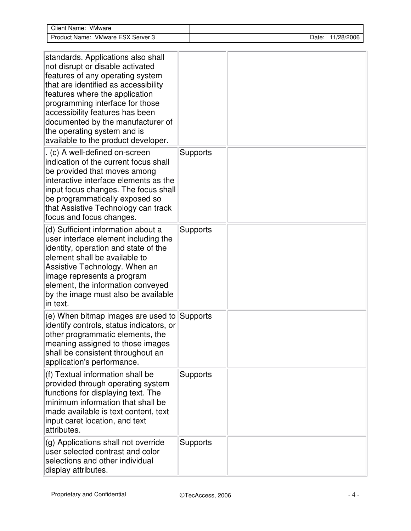| <b>Client Name: VMware</b>                                                                                                                                                                                                                                                                                                                                            |                 |                  |
|-----------------------------------------------------------------------------------------------------------------------------------------------------------------------------------------------------------------------------------------------------------------------------------------------------------------------------------------------------------------------|-----------------|------------------|
| Product Name: VMware ESX Server 3                                                                                                                                                                                                                                                                                                                                     |                 | Date: 11/28/2006 |
|                                                                                                                                                                                                                                                                                                                                                                       |                 |                  |
| standards. Applications also shall<br>not disrupt or disable activated<br>features of any operating system<br>that are identified as accessibility<br>features where the application<br>programming interface for those<br>accessibility features has been<br>documented by the manufacturer of<br>the operating system and is<br>available to the product developer. |                 |                  |
| . (c) A well-defined on-screen<br>indication of the current focus shall<br>be provided that moves among<br>interactive interface elements as the<br>input focus changes. The focus shall<br>be programmatically exposed so<br>that Assistive Technology can track<br>focus and focus changes.                                                                         | <b>Supports</b> |                  |
| (d) Sufficient information about a<br>user interface element including the<br>identity, operation and state of the<br>element shall be available to<br>Assistive Technology. When an<br>image represents a program<br>element, the information conveyed<br>by the image must also be available<br>in text.                                                            | Supports        |                  |
| (e) When bitmap images are used to Supports<br>identify controls, status indicators, or<br>other programmatic elements, the<br>meaning assigned to those images<br>shall be consistent throughout an<br>application's performance.                                                                                                                                    |                 |                  |
| $(f)$ Textual information shall be<br>provided through operating system<br>functions for displaying text. The<br>minimum information that shall be<br>made available is text content, text<br>input caret location, and text<br>attributes.                                                                                                                           | Supports        |                  |
| (g) Applications shall not override<br>user selected contrast and color<br>selections and other individual<br>display attributes.                                                                                                                                                                                                                                     | <b>Supports</b> |                  |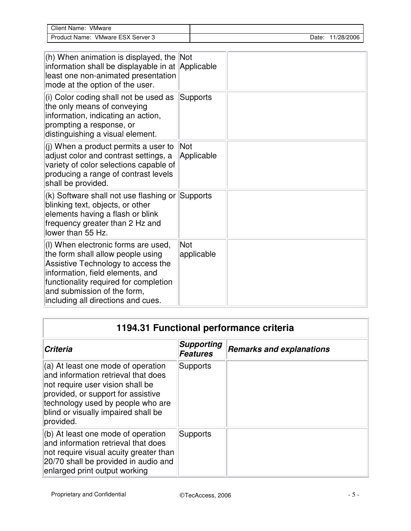| Client<br>VMware<br>:Name:                            |                   |  |
|-------------------------------------------------------|-------------------|--|
| <b>VMware ESX</b><br>Server 3<br><b>Product Name:</b> | /28/2006<br>Date. |  |

| (h) When animation is displayed, the $\vert$ Not<br>information shall be displayable in at Applicable<br>least one non-animated presentation<br>mode at the option of the user.<br>(i) Color coding shall not be used as<br>the only means of conveying<br>information, indicating an action,<br>prompting a response, or | <b>Supports</b>   |  |
|---------------------------------------------------------------------------------------------------------------------------------------------------------------------------------------------------------------------------------------------------------------------------------------------------------------------------|-------------------|--|
| distinguishing a visual element.<br>(j) When a product permits a user to<br>adjust color and contrast settings, a<br>variety of color selections capable of<br>producing a range of contrast levels<br>shall be provided.                                                                                                 | Not<br>Applicable |  |
| (k) Software shall not use flashing or<br>blinking text, objects, or other<br>elements having a flash or blink<br>frequency greater than 2 Hz and<br>lower than 55 Hz.                                                                                                                                                    | Supports          |  |
| (I) When electronic forms are used,<br>the form shall allow people using<br>Assistive Technology to access the<br>information, field elements, and<br>functionality required for completion<br>and submission of the form,<br>including all directions and cues.                                                          | Not<br>applicable |  |

| 1194.31 Functional performance criteria                                                                                                                                                                                                      |                                      |                                 |  |
|----------------------------------------------------------------------------------------------------------------------------------------------------------------------------------------------------------------------------------------------|--------------------------------------|---------------------------------|--|
| <b>Criteria</b>                                                                                                                                                                                                                              | <b>Supporting</b><br><b>Features</b> | <b>Remarks and explanations</b> |  |
| (a) At least one mode of operation<br>and information retrieval that does<br>not require user vision shall be<br>provided, or support for assistive<br>technology used by people who are<br>blind or visually impaired shall be<br>provided. | Supports                             |                                 |  |
| (b) At least one mode of operation<br>and information retrieval that does<br>not require visual acuity greater than<br>20/70 shall be provided in audio and<br>enlarged print output working                                                 | Supports                             |                                 |  |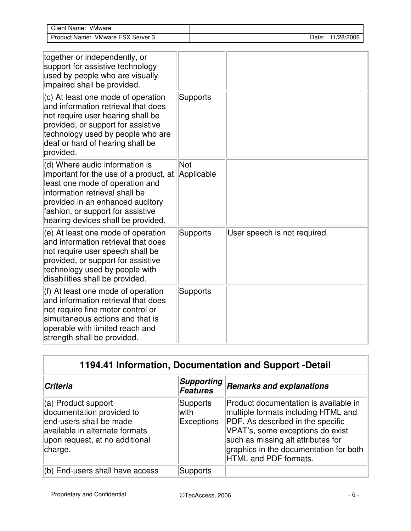| Client Name: VMware                                                                                                                                                                                                                                          |            |                 |                              |
|--------------------------------------------------------------------------------------------------------------------------------------------------------------------------------------------------------------------------------------------------------------|------------|-----------------|------------------------------|
| Product Name: VMware ESX Server 3                                                                                                                                                                                                                            |            |                 | Date: 11/28/2006             |
|                                                                                                                                                                                                                                                              |            |                 |                              |
| together or independently, or<br>support for assistive technology<br>used by people who are visually<br>impaired shall be provided.                                                                                                                          |            |                 |                              |
| (c) At least one mode of operation<br>and information retrieval that does<br>not require user hearing shall be<br>provided, or support for assistive<br>technology used by people who are<br>deaf or hard of hearing shall be<br>provided.                   |            | <b>Supports</b> |                              |
| (d) Where audio information is<br>important for the use of a product, at<br>least one mode of operation and<br>information retrieval shall be<br>provided in an enhanced auditory<br>fashion, or support for assistive<br>hearing devices shall be provided. | <b>Not</b> | Applicable      |                              |
| (e) At least one mode of operation<br>and information retrieval that does<br>not require user speech shall be<br>provided, or support for assistive<br>technology used by people with<br>disabilities shall be provided.                                     |            | <b>Supports</b> | User speech is not required. |
| $(1)$ At least one meads of openation                                                                                                                                                                                                                        | $\sim$     |                 |                              |

| $(f)$ At least one mode of operation<br>and information retrieval that does<br>not require fine motor control or<br>simultaneous actions and that is<br>operable with limited reach and<br>strength shall be provided. | Supports |  |
|------------------------------------------------------------------------------------------------------------------------------------------------------------------------------------------------------------------------|----------|--|
|                                                                                                                                                                                                                        |          |  |

| 1194.41 Information, Documentation and Support -Detail                                                                                                     |                                       |                                                                                                                                                                                                                                                                       |  |  |
|------------------------------------------------------------------------------------------------------------------------------------------------------------|---------------------------------------|-----------------------------------------------------------------------------------------------------------------------------------------------------------------------------------------------------------------------------------------------------------------------|--|--|
| <b>Criteria</b>                                                                                                                                            | <b>Supporting</b><br><b>Features</b>  | <b>Remarks and explanations</b>                                                                                                                                                                                                                                       |  |  |
| (a) Product support<br>documentation provided to<br>end-users shall be made<br>available in alternate formats<br>upon request, at no additional<br>charge. | Supports<br>with<br><b>Exceptions</b> | Product documentation is available in<br>multiple formats including HTML and<br>PDF. As described in the specific<br>VPAT's, some exceptions do exist<br>such as missing alt attributes for<br>graphics in the documentation for both<br><b>HTML and PDF formats.</b> |  |  |
| (b) End-users shall have access                                                                                                                            | Supports                              |                                                                                                                                                                                                                                                                       |  |  |